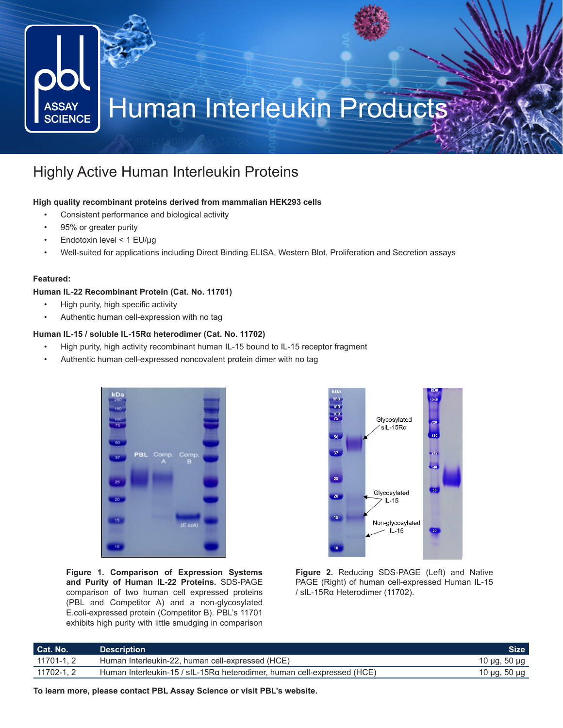

## Highly Active Human Interleukin Proteins

## **High quality recombinant proteins derived from mammalian HEK293 cells**

- Consistent performance and biological activity
- 95% or greater purity
- Endotoxin level < 1 EU/μg
- Well-suited for applications including Direct Binding ELISA, Western Blot, Proliferation and Secretion assays

### **Featured:**

### **Human IL-22 Recombinant Protein (Cat. No. 11701)**

- High purity, high specific activity
- Authentic human cell-expression with no tag

## **Human IL-15 / soluble IL-15Rα heterodimer (Cat. No. 11702)**

- High purity, high activity recombinant human IL-15 bound to IL-15 receptor fragment
- Authentic human cell-expressed noncovalent protein dimer with no tag



**Figure 1. Comparison of Expression Systems and Purity of Human IL-22 Proteins.** SDS-PAGE comparison of two human cell expressed proteins (PBL and Competitor A) and a non-glycosylated E.coli-expressed protein (Competitor B). PBL's 11701 exhibits high purity with little smudging in comparison



**Figure 2.** Reducing SDS-PAGE (Left) and Native PAGE (Right) of human cell-expressed Human IL-15 / sIL-15Rα Heterodimer (11702).

| Cat. No.   | <b>Description</b>                                                      | <b>Size</b>  |
|------------|-------------------------------------------------------------------------|--------------|
| 11701-1, 2 | Human Interleukin-22, human cell-expressed (HCE)                        | 10 µg, 50 µg |
| 11702-1, 2 | Human Interleukin-15 / sIL-15Rα heterodimer, human cell-expressed (HCE) | 10 μg, 50 μg |

**To learn more, please contact PBL Assay Science or visit PBL's website.**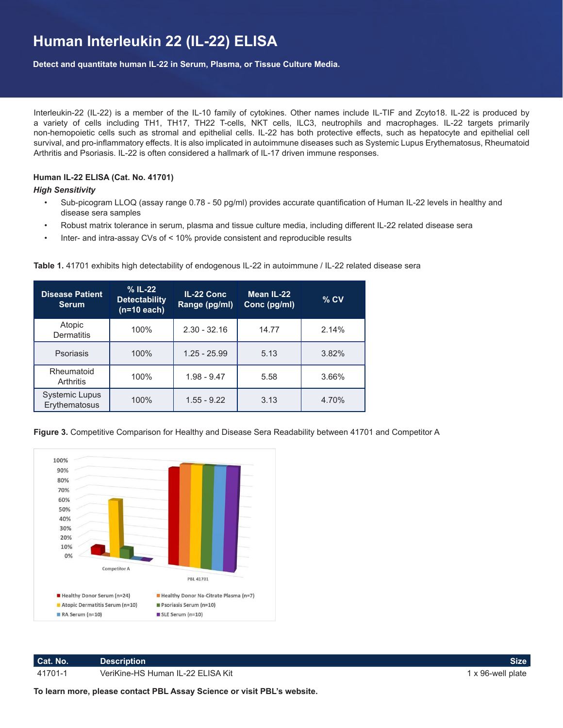# **Human Interleukin 22 (IL-22) ELISA**

**Detect and quantitate human IL-22 in Serum, Plasma, or Tissue Culture Media.**

Interleukin-22 (IL-22) is a member of the IL-10 family of cytokines. Other names include IL-TIF and Zcyto18. IL-22 is produced by a variety of cells including TH1, TH17, TH22 T-cells, NKT cells, ILC3, neutrophils and macrophages. IL-22 targets primarily non-hemopoietic cells such as stromal and epithelial cells. IL-22 has both protective effects, such as hepatocyte and epithelial cell survival, and pro-inflammatory effects. It is also implicated in autoimmune diseases such as Systemic Lupus Erythematosus, Rheumatoid Arthritis and Psoriasis. IL-22 is often considered a hallmark of IL-17 driven immune responses.

## **Human IL-22 ELISA (Cat. No. 41701)**

### *High Sensitivity*

- Sub-picogram LLOQ (assay range 0.78 50 pg/ml) provides accurate quantification of Human IL-22 levels in healthy and disease sera samples
- Robust matrix tolerance in serum, plasma and tissue culture media, including different IL-22 related disease sera
- Inter- and intra-assay CVs of < 10% provide consistent and reproducible results

| <b>Disease Patient</b><br><b>Serum</b> | $%$ IL-22<br><b>Detectability</b><br>$(n=10$ each) | IL-22 Conc<br>Range (pg/ml) | Mean IL-22<br>Conc (pg/ml) | $%$ CV |
|----------------------------------------|----------------------------------------------------|-----------------------------|----------------------------|--------|
| Atopic<br><b>Dermatitis</b>            | 100%                                               | $2.30 - 32.16$              | 14.77                      | 2.14%  |
| Psoriasis                              | 100%                                               | $1.25 - 25.99$              | 5.13                       | 3.82%  |
| Rheumatoid<br>Arthritis                | 100%                                               | $1.98 - 9.47$               | 5.58                       | 3.66%  |
| <b>Systemic Lupus</b><br>Erythematosus | 100%                                               | $1.55 - 9.22$               | 3.13                       | 4.70%  |

**Table 1.** 41701 exhibits high detectability of endogenous IL-22 in autoimmune / IL-22 related disease sera

**Figure 3.** Competitive Comparison for Healthy and Disease Sera Readability between 41701 and Competitor A



**To learn more, please contact PBL Assay Science or visit PBL's website.**